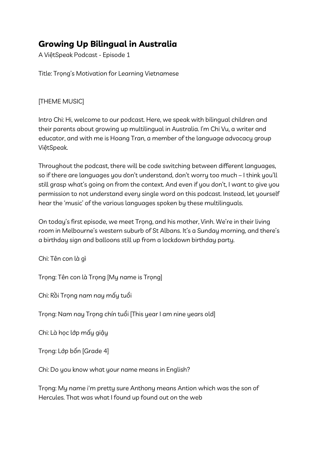## **Growing Up Bilingual in Australia**

A ViệtSpeak Podcast - Episode 1

Title: Trong's Motivation for Learning Vietnamese

## [THEME MUSIC]

Intro Chi: Hi, welcome to our podcast. Here, we speak with bilingual children and their parents about growing up multilingual in Australia. I'm Chi Vu, a writer and educator, and with me is Hoang Tran, a member of the language advocacy group ViệtSpeak.

Throughout the podcast, there will be code switching between different languages, so if there are languages you don't understand, don't worry too much – I think you'll still grasp what's going on from the context. And even if you don't, I want to give you permission to not understand every single word on this podcast. Instead, let yourself hear the 'music' of the various languages spoken by these multilinguals.

On today's first episode, we meet Trọng, and his mother, Vinh. We're in their living room in Melbourne's western suburb of St Albans. It's a Sunday morning, and there's a birthday sign and balloons still up from a lockdown birthday party.

Chi: Tên con là gì

Trọng: Tên con là Trọng [My name is Trọng]

Chi: Rồi Trọng nam nay mấy tuổi

Trọng: Nam nay Trọng chín tuổi [This year I am nine years old]

Chi: Là học lớp mấy giậy

Trọng: Lớp bốn [Grade 4]

Chi: Do you know what your name means in English?

Trọng: My name i'm pretty sure Anthony means Antion which was the son of Hercules. That was what I found up found out on the web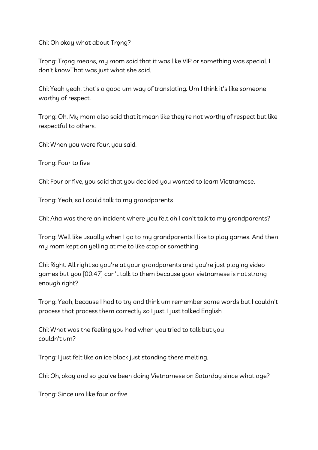Chi: Oh okay what about Trọng?

Trọng: Trọng means, my mom said that it was like VIP or something was special. I don't knowThat was just what she said.

Chi: Yeah yeah, that's a good um way of translating. Um I think it's like someone worthy of respect.

Trọng: Oh. My mom also said that it mean like they're not worthy of respect but like respectful to others.

Chi: When you were four, you said.

Trong: Four to five

Chi: Four or five, you said that you decided you wanted to learn Vietnamese.

Trọng: Yeah, so I could talk to my grandparents

Chi: Aha was there an incident where you felt oh I can't talk to my grandparents?

Trọng: Well like usually when I go to my grandparents I like to play games. And then my mom kept on yelling at me to like stop or something

Chi: Right. All right so you're at your grandparents and you're just playing video games but you [00:47] can't talk to them because your vietnamese is not strong enough right?

Trọng: Yeah, because I had to try and think um remember some words but I couldn't process that process them correctly so I just, I just talked English

Chi: What was the feeling you had when you tried to talk but you couldn't um?

Trọng: I just felt like an ice block just standing there melting.

Chi: Oh, okay and so you've been doing Vietnamese on Saturday since what age?

Trong: Since um like four or five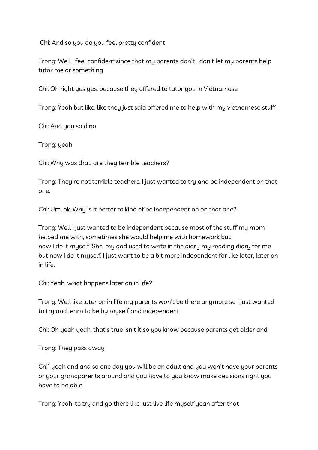Chi: And so you do you feel pretty confident

Trọng: Well I feel confident since that my parents don't I don't let my parents help tutor me or something

Chi: Oh right yes yes, because they offered to tutor you in Vietnamese

Trọng: Yeah but like, like they just said offered me to help with my vietnamese stuff

Chi: And you said no

Trong: yeah

Chi: Why was that, are they terrible teachers?

Trong: They're not terrible teachers, I just wanted to try and be independent on that one.

Chi: Um, ok. Why is it better to kind of be independent on on that one?

Trọng: Well i just wanted to be independent because most of the stuff my mom helped me with, sometimes she would help me with homework but now I do it myself. She, my dad used to write in the diary my reading diary for me but now I do it myself. I just want to be a bit more independent for like later, later on in life.

Chi: Yeah, what happens later on in life?

Trọng: Well like later on in life my parents won't be there anymore so I just wanted to try and learn to be by myself and independent

Chi: Oh yeah yeah, that's true isn't it so you know because parents get older and

Trọng: They pass away

Chi" yeah and and so one day you will be an adult and you won't have your parents or your grandparents around and you have to you know make decisions right you have to be able

Trọng: Yeah, to try and go there like just live life myself yeah after that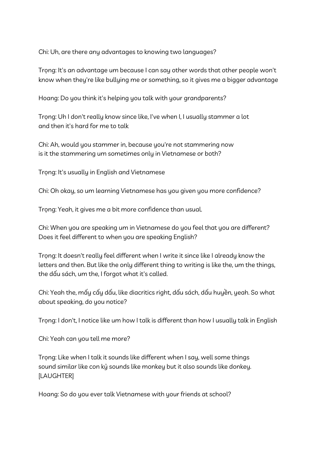Chi: Uh, are there any advantages to knowing two languages?

Trọng: It's an advantage um because I can say other words that other people won't know when they're like bullying me or something, so it gives me a bigger advantage

Hoang: Do you think it's helping you talk with your grandparents?

Trọng: Uh I don't really know since like, I've when I, I usually stammer a lot and then it's hard for me to talk

Chi: Ah, would you stammer in, because you're not stammering now is it the stammering um sometimes only in Vietnamese or both?

Trong: It's usually in English and Vietnamese

Chi: Oh okay, so um learning Vietnamese has you given you more confidence?

Trọng: Yeah, it gives me a bit more confidence than usual.

Chi: When you are speaking um in Vietnamese do you feel that you are different? Does it feel different to when you are speaking English?

Trọng: It doesn't really feel different when I write it since like I already know the letters and then. But like the only different thing to writing is like the, um the things, the dấu sách, um the, I forgot what it's called.

Chi: Yeah the, mấy cấy dấu, like diacritics right, dấu sách, dấu huyền, yeah. So what about speaking, do you notice?

Trọng: I don't, I notice like um how I talk is different than how I usually talk in English

Chi: Yeah can you tell me more?

Trọng: Like when I talk it sounds like different when I say, well some things sound similar like con kỷ sounds like monkey but it also sounds like donkey. [LAUGHTER]

Hoang: So do you ever talk Vietnamese with your friends at school?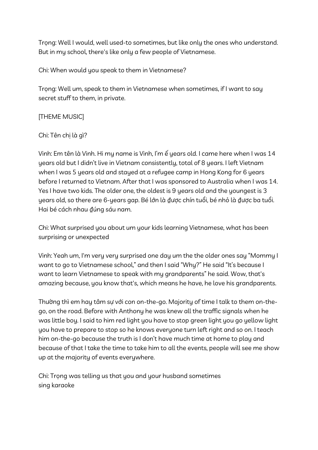Trọng: Well I would, well used-to sometimes, but like only the ones who understand. But in my school, there's like only a few people of Vietnamese.

Chi: When would you speak to them in Vietnamese?

Trọng: Well um, speak to them in Vietnamese when sometimes, if I want to say secret stuff to them, in private.

[THEME MUSIC]

Chi: Tên chị là gì?

Vinh: Em tên là Vinh. Hi my name is Vinh, I'm ế years old. I came here when I was 14 years old but I didn't live in Vietnam consistently, total of 8 years. I left Vietnam when I was 5 years old and stayed at a refugee camp in Hong Kong for 6 years before I returned to Vietnam. After that I was sponsored to Australia when I was 14. Yes I have two kids. The older one, the oldest is 9 years old and the youngest is 3 years old, so there are 6-years gap. Bé lớn là ₫ược chín tuổi, bé nhỏ là ₫ược ba tuổi. Hai bé cách nhau đúng sáu nam.

Chi: What surprised you about um your kids learning Vietnamese, what has been surprising or unexpected

Vinh: Yeah um, I'm very very surprised one day um the the older ones say "Mommy I want to go to Vietnamese school," and then I said "Why?" He said "It's because I want to learn Vietnamese to speak with my grandparents" he said. Wow, that's amazing because, you know that's, which means he have, he love his grandparents.

Thường thì em hay tâm sự với con on-the-go. Majority of time I talk to them on-thego, on the road. Before with Anthony he was knew all the traffic signals when he was little boy. I said to him red light you have to stop green light you go yellow light you have to prepare to stop so he knows everyone turn left right and so on. I teach him on-the-go because the truth is I don't have much time at home to play and because of that I take the time to take him to all the events, people will see me show up at the majority of events everywhere.

Chi: Trọng was telling us that you and your husband sometimes sing karaoke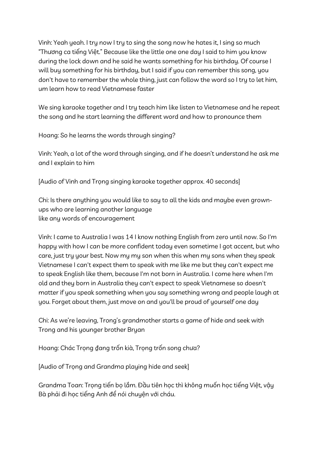Vinh: Yeah yeah. I try now I try to sing the song now he hates it, I sing so much "Thương ca tiếng Việt." Because like the little one one day I said to him you know during the lock down and he said he wants something for his birthday. Of course I will buy something for his birthday, but I said if you can remember this song, you don't have to remember the whole thing, just can follow the word so I try to let him, um learn how to read Vietnamese faster

We sing karaoke together and I try teach him like listen to Vietnamese and he repeat the song and he start learning the different word and how to pronounce them

Hoang: So he learns the words through singing?

Vinh: Yeah, a lot of the word through singing, and if he doesn't understand he ask me and I explain to him

[Audio of Vinh and Trong singing karaoke together approx. 40 seconds]

Chi: Is there anything you would like to say to all the kids and maybe even grownups who are learning another language like any words of encouragement

Vinh: I came to Australia I was 14 I know nothing English from zero until now. So I'm happy with how I can be more confident today even sometime I got accent, but who care, just try your best. Now my my son when this when my sons when they speak Vietnamese I can't expect them to speak with me like me but they can't expect me to speak English like them, because I'm not born in Australia. I come here when I'm old and they born in Australia they can't expect to speak Vietnamese so doesn't matter if you speak something when you say something wrong and people laugh at you. Forget about them, just move on and you'll be proud of yourself one day

Chi: As we're leaving, Trong's grandmother starts a game of hide and seek with Trong and his younger brother Bryan

Hoang: Chác Trọng ₫ang trốn kià, Trọng trốn song chưa?

[Audio of Trọng and Grandma playing hide and seek]

Grandma Toan: Trọng tiến bọ lắm. Đầu tiên học thì không muốn học tiếng Việt, vậy Bà phải đi học tiếng Anh để nói chuyện với cháu.